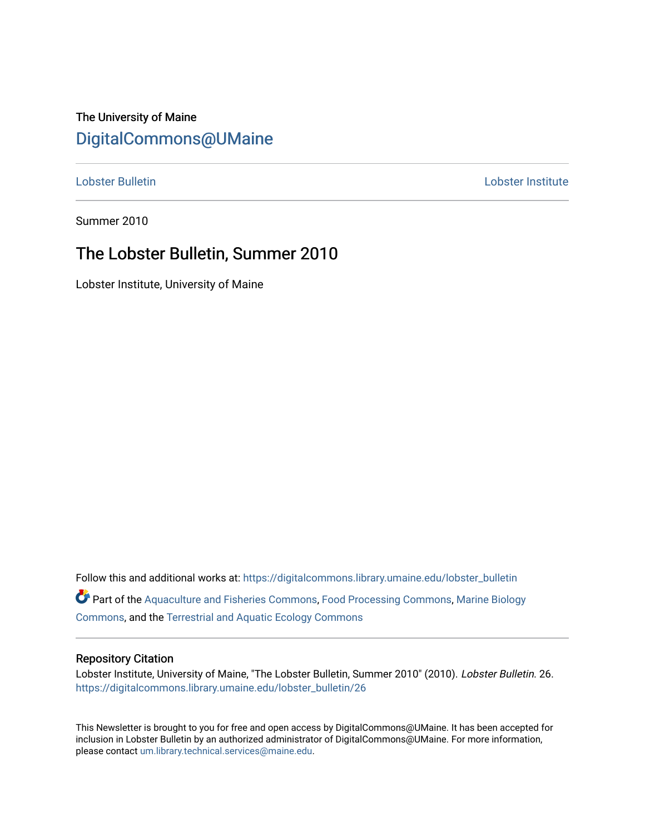## The University of Maine [DigitalCommons@UMaine](https://digitalcommons.library.umaine.edu/)

[Lobster Bulletin](https://digitalcommons.library.umaine.edu/lobster_bulletin) [Lobster Institute](https://digitalcommons.library.umaine.edu/lobster) 

Summer 2010

## The Lobster Bulletin, Summer 2010

Lobster Institute, University of Maine

Follow this and additional works at: [https://digitalcommons.library.umaine.edu/lobster\\_bulletin](https://digitalcommons.library.umaine.edu/lobster_bulletin?utm_source=digitalcommons.library.umaine.edu%2Flobster_bulletin%2F26&utm_medium=PDF&utm_campaign=PDFCoverPages) Part of the [Aquaculture and Fisheries Commons](http://network.bepress.com/hgg/discipline/78?utm_source=digitalcommons.library.umaine.edu%2Flobster_bulletin%2F26&utm_medium=PDF&utm_campaign=PDFCoverPages), [Food Processing Commons,](http://network.bepress.com/hgg/discipline/85?utm_source=digitalcommons.library.umaine.edu%2Flobster_bulletin%2F26&utm_medium=PDF&utm_campaign=PDFCoverPages) [Marine Biology](http://network.bepress.com/hgg/discipline/1126?utm_source=digitalcommons.library.umaine.edu%2Flobster_bulletin%2F26&utm_medium=PDF&utm_campaign=PDFCoverPages) [Commons](http://network.bepress.com/hgg/discipline/1126?utm_source=digitalcommons.library.umaine.edu%2Flobster_bulletin%2F26&utm_medium=PDF&utm_campaign=PDFCoverPages), and the [Terrestrial and Aquatic Ecology Commons](http://network.bepress.com/hgg/discipline/20?utm_source=digitalcommons.library.umaine.edu%2Flobster_bulletin%2F26&utm_medium=PDF&utm_campaign=PDFCoverPages) 

#### Repository Citation

Lobster Institute, University of Maine, "The Lobster Bulletin, Summer 2010" (2010). Lobster Bulletin. 26. [https://digitalcommons.library.umaine.edu/lobster\\_bulletin/26](https://digitalcommons.library.umaine.edu/lobster_bulletin/26?utm_source=digitalcommons.library.umaine.edu%2Flobster_bulletin%2F26&utm_medium=PDF&utm_campaign=PDFCoverPages) 

This Newsletter is brought to you for free and open access by DigitalCommons@UMaine. It has been accepted for inclusion in Lobster Bulletin by an authorized administrator of DigitalCommons@UMaine. For more information, please contact [um.library.technical.services@maine.edu.](mailto:um.library.technical.services@maine.edu)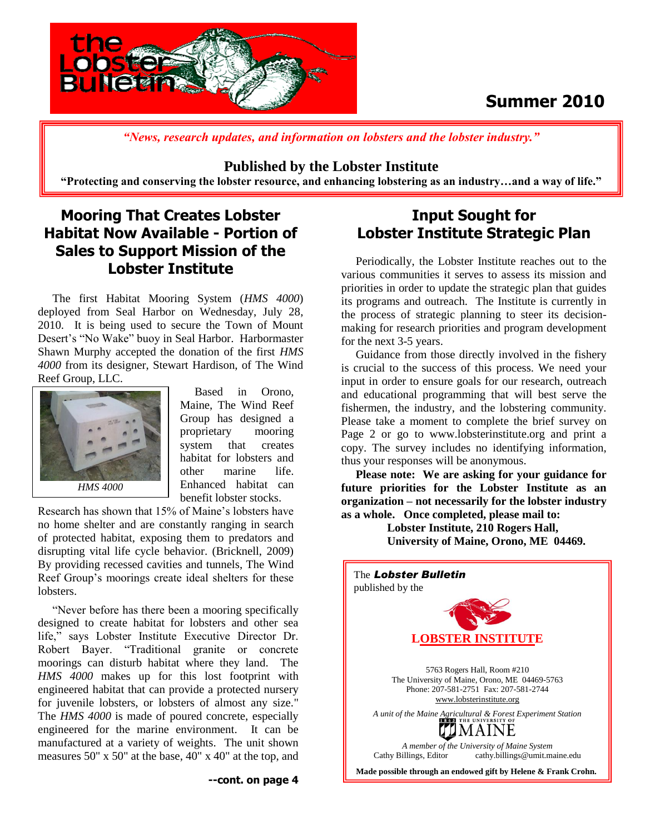

## **Summer 2010**

*"News, research updates, and information on lobsters and the lobster industry."*

#### **Published by the Lobster Institute**

**"Protecting and conserving the lobster resource, and enhancing lobstering as an industry…and a way of life."**

## **Mooring That Creates Lobster Habitat Now Available - Portion of Sales to Support Mission of the Lobster Institute**

 The first Habitat Mooring System (*HMS 4000*) deployed from Seal Harbor on Wednesday, July 28, 2010. It is being used to secure the Town of Mount Desert's "No Wake" buoy in Seal Harbor. Harbormaster Shawn Murphy accepted the donation of the first *HMS 4000* from its designer, Stewart Hardison, of The Wind Reef Group, LLC.



 Based in Orono, Maine, The Wind Reef Group has designed a proprietary mooring system that creates habitat for lobsters and other marine life. Enhanced habitat can benefit lobster stocks.

Research has shown that 15% of Maine's lobsters have no home shelter and are constantly ranging in search of protected habitat, exposing them to predators and disrupting vital life cycle behavior. (Bricknell, 2009) By providing recessed cavities and tunnels, The Wind Reef Group's moorings create ideal shelters for these lobsters.

 "Never before has there been a mooring specifically designed to create habitat for lobsters and other sea life," says Lobster Institute Executive Director Dr. Robert Bayer. "Traditional granite or concrete moorings can disturb habitat where they land. The *HMS 4000* makes up for this lost footprint with engineered habitat that can provide a protected nursery for juvenile lobsters, or lobsters of almost any size." The *HMS 4000* is made of poured concrete, especially engineered for the marine environment. It can be manufactured at a variety of weights. The unit shown measures 50" x 50" at the base, 40" x 40" at the top, and

## **Input Sought for Lobster Institute Strategic Plan**

 Periodically, the Lobster Institute reaches out to the various communities it serves to assess its mission and priorities in order to update the strategic plan that guides its programs and outreach. The Institute is currently in the process of strategic planning to steer its decisionmaking for research priorities and program development for the next 3-5 years.

 Guidance from those directly involved in the fishery is crucial to the success of this process. We need your input in order to ensure goals for our research, outreach and educational programming that will best serve the fishermen, the industry, and the lobstering community. Please take a moment to complete the brief survey on Page 2 or go to www.lobsterinstitute.org and print a copy. The survey includes no identifying information, thus your responses will be anonymous.

 **Please note: We are asking for your guidance for future priorities for the Lobster Institute as an organization – not necessarily for the lobster industry as a whole. Once completed, please mail to:**

> **Lobster Institute, 210 Rogers Hall, University of Maine, Orono, ME 04469.**

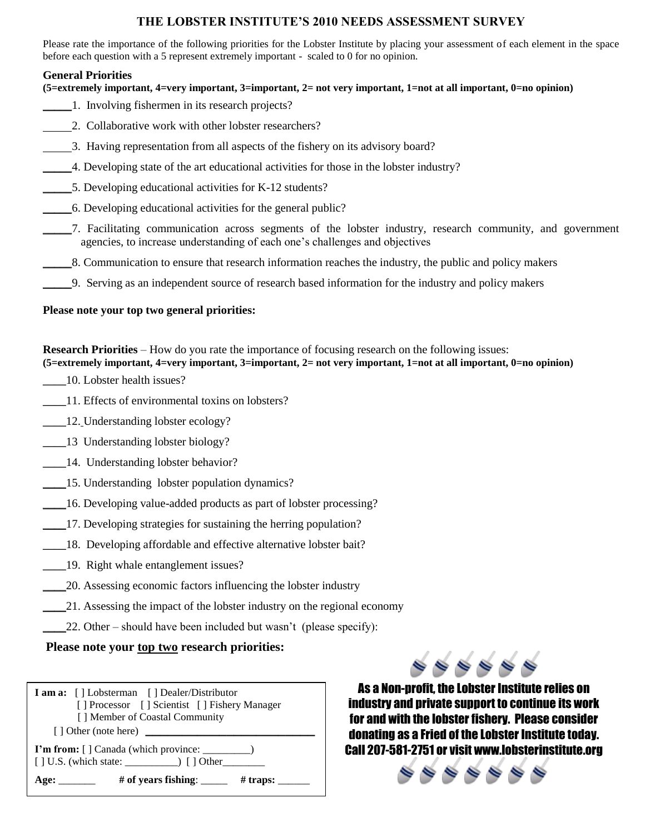#### **THE LOBSTER INSTITUTE'S 2010 NEEDS ASSESSMENT SURVEY**

Please rate the importance of the following priorities for the Lobster Institute by placing your assessment of each element in the space before each question with a 5 represent extremely important - scaled to 0 for no opinion.

#### **General Priorities**

#### **(5=extremely important, 4=very important, 3=important, 2= not very important, 1=not at all important, 0=no opinion)**

- \_\_\_\_\_1. Involving fishermen in its research projects?
- 2. Collaborative work with other lobster researchers?
- 3. Having representation from all aspects of the fishery on its advisory board?
- \_\_\_\_\_4. Developing state of the art educational activities for those in the lobster industry?
- \_\_\_\_\_5. Developing educational activities for K-12 students?
- \_\_\_\_\_6. Developing educational activities for the general public?
- \_\_\_\_\_7. Facilitating communication across segments of the lobster industry, research community, and government agencies, to increase understanding of each one's challenges and objectives
- \_\_\_\_\_8. Communication to ensure that research information reaches the industry, the public and policy makers
- \_\_\_\_\_9. Serving as an independent source of research based information for the industry and policy makers

#### **Please note your top two general priorities:**

**Research Priorities** – How do you rate the importance of focusing research on the following issues:

**(5=extremely important, 4=very important, 3=important, 2= not very important, 1=not at all important, 0=no opinion)**

- \_\_\_\_10. Lobster health issues?
- \_\_\_\_11. Effects of environmental toxins on lobsters?
- \_\_\_\_12. Understanding lobster ecology?
- \_\_\_\_13 Understanding lobster biology?
- \_\_\_\_14. Understanding lobster behavior?
- \_\_\_\_15. Understanding lobster population dynamics?
- \_\_\_\_16. Developing value-added products as part of lobster processing?
- \_\_\_\_17. Developing strategies for sustaining the herring population?
- 18. Developing affordable and effective alternative lobster bait?
- \_\_\_\_19. Right whale entanglement issues?
- \_\_\_\_20. Assessing economic factors influencing the lobster industry
- 21. Assessing the impact of the lobster industry on the regional economy
- 22. Other should have been included but wasn't (please specify):

#### **Please note your top two research priorities:**

| <b>I am a:</b> [] Lobsterman [] Dealer/Distributor      |
|---------------------------------------------------------|
| [ Processor [ Scientist [ Prishery Manager              |
| [] Member of Coastal Community                          |
| [] Other (note here)                                    |
|                                                         |
| # of years fishing: $\frac{1}{2}$<br>$#$ traps:<br>Age: |



As a Non-profit, the Lobster Institute relies on industry and private support to continue its work for and with the lobster fishery. Please consider donating as a Fried of the Lobster Institute today. Call 207-581-2751 or visit www.lobsterinstitute.org

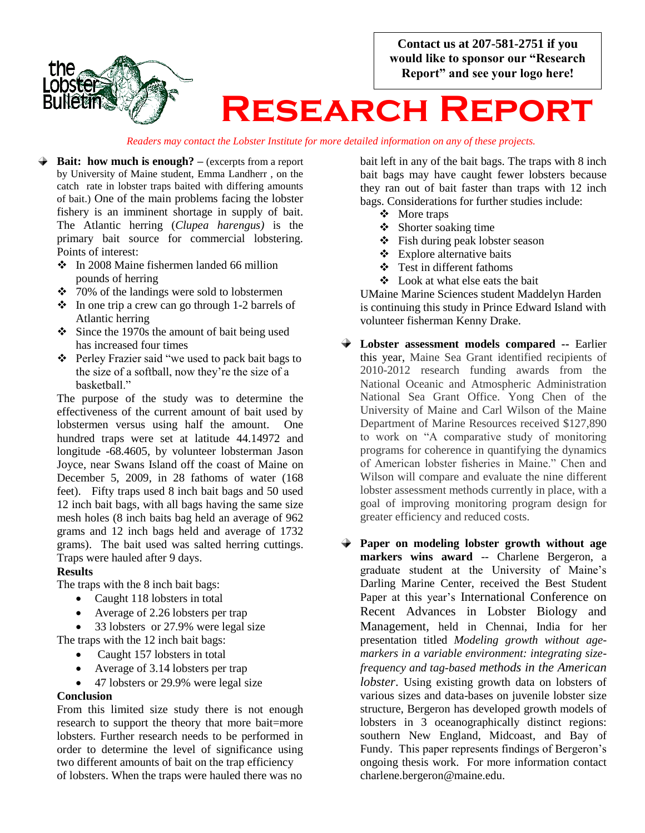**Contact us at 207-581-2751 if you would like to sponsor our "Research Report" and see your logo here!**



# **Research Report**

*Readers may contact the Lobster Institute for more detailed information on any of these projects.*

- **Bait:** how much is enough? (excerpts from a report by University of Maine student, Emma Landherr , on the catch rate in lobster traps baited with differing amounts of bait.) One of the main problems facing the lobster fishery is an imminent shortage in supply of bait. The Atlantic herring (*Clupea harengus)* is the primary bait source for commercial lobstering. Points of interest:
	- In 2008 Maine fishermen landed 66 million pounds of herring
	- $\div$  70% of the landings were sold to lobstermen
	- $\cdot \cdot$  In one trip a crew can go through 1-2 barrels of Atlantic herring
	- $\div$  Since the 1970s the amount of bait being used has increased four times
	- Perley Frazier said "we used to pack bait bags to the size of a softball, now they're the size of a basketball."

The purpose of the study was to determine the effectiveness of the current amount of bait used by lobstermen versus using half the amount. One hundred traps were set at latitude 44.14972 and longitude -68.4605, by volunteer lobsterman Jason Joyce, near Swans Island off the coast of Maine on December 5, 2009, in 28 fathoms of water (168 feet). Fifty traps used 8 inch bait bags and 50 used 12 inch bait bags, with all bags having the same size mesh holes (8 inch baits bag held an average of 962 grams and 12 inch bags held and average of 1732 grams). The bait used was salted herring cuttings. Traps were hauled after 9 days.

#### **Results**

The traps with the 8 inch bait bags:

- Caught 118 lobsters in total
- Average of 2.26 lobsters per trap
- 33 lobsters or 27.9% were legal size The traps with the 12 inch bait bags:
	- Caught 157 lobsters in total
		- Average of 3.14 lobsters per trap
	- 47 lobsters or 29.9% were legal size

#### **Conclusion**

From this limited size study there is not enough research to support the theory that more bait=more lobsters. Further research needs to be performed in order to determine the level of significance using two different amounts of bait on the trap efficiency of lobsters. When the traps were hauled there was no

bait left in any of the bait bags. The traps with 8 inch bait bags may have caught fewer lobsters because they ran out of bait faster than traps with 12 inch bags. Considerations for further studies include:

- ❖ More traps
- $\div$  Shorter soaking time
- $\div$  Fish during peak lobster season
- $\triangle$  Explore alternative baits
- $\div$  Test in different fathoms
- Look at what else eats the bait

UMaine Marine Sciences student Maddelyn Harden is continuing this study in Prince Edward Island with volunteer fisherman Kenny Drake.

- **Lobster assessment models compared --** Earlier this year, Maine Sea Grant identified recipients of 2010-2012 research funding awards from the National Oceanic and Atmospheric Administration National Sea Grant Office. Yong Chen of the University of Maine and Carl Wilson of the Maine Department of Marine Resources received \$127,890 to work on "A comparative study of monitoring programs for coherence in quantifying the dynamics of American lobster fisheries in Maine." Chen and Wilson will compare and evaluate the nine different lobster assessment methods currently in place, with a goal of improving monitoring program design for greater efficiency and reduced costs.
- **Paper on modeling lobster growth without age markers wins award** -- Charlene Bergeron, a graduate student at the University of Maine's Darling Marine Center, received the Best Student Paper at this year's International Conference on Recent Advances in Lobster Biology and Management, held in Chennai, India for her presentation titled *Modeling growth without agemarkers in a variable environment: integrating sizefrequency and tag-based methods in the American lobster*. Using existing growth data on lobsters of various sizes and data-bases on juvenile lobster size structure, Bergeron has developed growth models of lobsters in 3 oceanographically distinct regions: southern New England, Midcoast, and Bay of Fundy. This paper represents findings of Bergeron's ongoing thesis work. For more information contact charlene.bergeron@maine.edu.